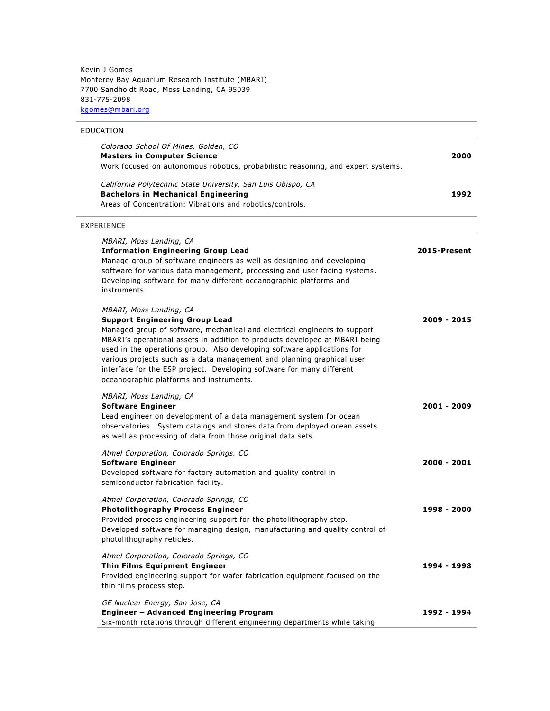Kevin J Gomes Monterey Bay Aquarium Research Institute (MBARI) 7700 Sandholdt Road, Moss Landing, CA 95039 831-775-2098 kgomes@mbari.org

# EDUCATION

| Colorado School Of Mines, Golden, CO<br><b>Masters in Computer Science</b><br>Work focused on autonomous robotics, probabilistic reasoning, and expert systems.                                                                                                                                                                                                                                                                                                                                        | 2000          |
|--------------------------------------------------------------------------------------------------------------------------------------------------------------------------------------------------------------------------------------------------------------------------------------------------------------------------------------------------------------------------------------------------------------------------------------------------------------------------------------------------------|---------------|
| California Polytechnic State University, San Luis Obispo, CA<br><b>Bachelors in Mechanical Engineering</b><br>Areas of Concentration: Vibrations and robotics/controls.                                                                                                                                                                                                                                                                                                                                | 1992          |
| <b>EXPERIENCE</b>                                                                                                                                                                                                                                                                                                                                                                                                                                                                                      |               |
| MBARI, Moss Landing, CA<br><b>Information Engineering Group Lead</b><br>Manage group of software engineers as well as designing and developing<br>software for various data management, processing and user facing systems.<br>Developing software for many different oceanographic platforms and<br>instruments.                                                                                                                                                                                      | 2015-Present  |
| MBARI, Moss Landing, CA<br><b>Support Engineering Group Lead</b><br>Managed group of software, mechanical and electrical engineers to support<br>MBARI's operational assets in addition to products developed at MBARI being<br>used in the operations group. Also developing software applications for<br>various projects such as a data management and planning graphical user<br>interface for the ESP project. Developing software for many different<br>oceanographic platforms and instruments. | 2009 - 2015   |
| MBARI, Moss Landing, CA<br><b>Software Engineer</b><br>Lead engineer on development of a data management system for ocean<br>observatories. System catalogs and stores data from deployed ocean assets<br>as well as processing of data from those original data sets.                                                                                                                                                                                                                                 | 2001 - 2009   |
| Atmel Corporation, Colorado Springs, CO<br><b>Software Engineer</b><br>Developed software for factory automation and quality control in<br>semiconductor fabrication facility.                                                                                                                                                                                                                                                                                                                         | 2000 - 2001   |
| Atmel Corporation, Colorado Springs, CO<br><b>Photolithography Process Engineer</b><br>Provided process engineering support for the photolithography step.<br>Developed software for managing design, manufacturing and quality control of<br>photolithography reticles.                                                                                                                                                                                                                               | $1998 - 2000$ |
| Atmel Corporation, Colorado Springs, CO<br><b>Thin Films Equipment Engineer</b><br>Provided engineering support for wafer fabrication equipment focused on the<br>thin films process step.                                                                                                                                                                                                                                                                                                             | 1994 - 1998   |
| GE Nuclear Energy, San Jose, CA<br>Engineer - Advanced Engineering Program<br>Six-month rotations through different engineering departments while taking                                                                                                                                                                                                                                                                                                                                               | 1992 - 1994   |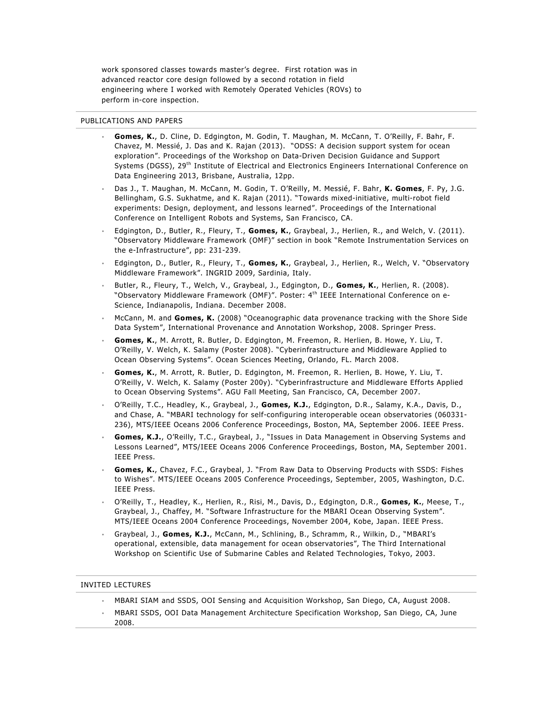work sponsored classes towards master's degree. First rotation was in advanced reactor core design followed by a second rotation in field engineering where I worked with Remotely Operated Vehicles (ROVs) to perform in-core inspection.

#### PUBLICATIONS AND PAPERS

- **Gomes, K.**, D. Cline, D. Edgington, M. Godin, T. Maughan, M. McCann, T. O'Reilly, F. Bahr, F. Chavez, M. Messié, J. Das and K. Rajan (2013). "ODSS: A decision support system for ocean exploration". Proceedings of the Workshop on Data-Driven Decision Guidance and Support Systems (DGSS), 29th Institute of Electrical and Electronics Engineers International Conference on Data Engineering 2013, Brisbane, Australia, 12pp.
- Das J., T. Maughan, M. McCann, M. Godin, T. O'Reilly, M. Messié, F. Bahr, **K. Gomes**, F. Py, J.G. Bellingham, G.S. Sukhatme, and K. Rajan (2011). "Towards mixed-initiative, multi-robot field experiments: Design, deployment, and lessons learned". Proceedings of the International Conference on Intelligent Robots and Systems, San Francisco, CA.
- Edgington, D., Butler, R., Fleury, T., **Gomes, K.**, Graybeal, J., Herlien, R., and Welch, V. (2011). "Observatory Middleware Framework (OMF)" section in book "Remote Instrumentation Services on the e-Infrastructure", pp: 231-239.
- Edgington, D., Butler, R., Fleury, T., **Gomes, K.**, Graybeal, J., Herlien, R., Welch, V. "Observatory Middleware Framework". INGRID 2009, Sardinia, Italy.
- Butler, R., Fleury, T., Welch, V., Graybeal, J., Edgington, D., **Gomes, K.**, Herlien, R. (2008). "Observatory Middleware Framework (OMF)". Poster: 4<sup>th</sup> IEEE International Conference on e-Science, Indianapolis, Indiana. December 2008.
- McCann, M. and **Gomes, K.** (2008) "Oceanographic data provenance tracking with the Shore Side Data System", International Provenance and Annotation Workshop, 2008. Springer Press.
- **Gomes, K.**, M. Arrott, R. Butler, D. Edgington, M. Freemon, R. Herlien, B. Howe, Y. Liu, T. O'Reilly, V. Welch, K. Salamy (Poster 2008). "Cyberinfrastructure and Middleware Applied to Ocean Observing Systems". Ocean Sciences Meeting, Orlando, FL. March 2008.
- **Gomes, K.**, M. Arrott, R. Butler, D. Edgington, M. Freemon, R. Herlien, B. Howe, Y. Liu, T. O'Reilly, V. Welch, K. Salamy (Poster 200y). "Cyberinfrastructure and Middleware Efforts Applied to Ocean Observing Systems". AGU Fall Meeting, San Francisco, CA, December 2007.
- O'Reilly, T.C., Headley, K., Graybeal, J., **Gomes, K.J.**, Edgington, D.R., Salamy, K.A., Davis, D., and Chase, A. "MBARI technology for self-configuring interoperable ocean observatories (060331- 236), MTS/IEEE Oceans 2006 Conference Proceedings, Boston, MA, September 2006. IEEE Press.
- **Gomes, K.J.**, O'Reilly, T.C., Graybeal, J., "Issues in Data Management in Observing Systems and Lessons Learned", MTS/IEEE Oceans 2006 Conference Proceedings, Boston, MA, September 2001. IEEE Press.
- **Gomes, K.**, Chavez, F.C., Graybeal, J. "From Raw Data to Observing Products with SSDS: Fishes to Wishes". MTS/IEEE Oceans 2005 Conference Proceedings, September, 2005, Washington, D.C. IEEE Press.
- O'Reilly, T., Headley, K., Herlien, R., Risi, M., Davis, D., Edgington, D.R., **Gomes, K.**, Meese, T., Graybeal, J., Chaffey, M. "Software Infrastructure for the MBARI Ocean Observing System". MTS/IEEE Oceans 2004 Conference Proceedings, November 2004, Kobe, Japan. IEEE Press.
- Graybeal, J., **Gomes, K.J.**, McCann, M., Schlining, B., Schramm, R., Wilkin, D., "MBARI's operational, extensible, data management for ocean observatories", The Third International Workshop on Scientific Use of Submarine Cables and Related Technologies, Tokyo, 2003.

## INVITED LECTURES

- MBARI SIAM and SSDS, OOI Sensing and Acquisition Workshop, San Diego, CA, August 2008.
- MBARI SSDS, OOI Data Management Architecture Specification Workshop, San Diego, CA, June 2008.